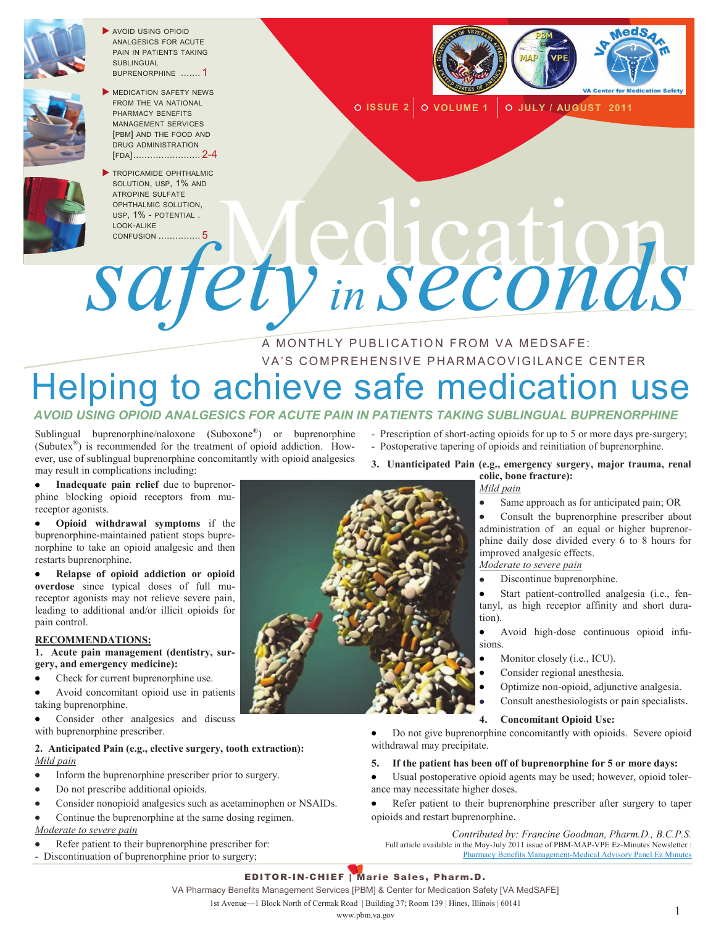

 AVOID USING OPIOID ANALGESICS FOR ACUTE PAIN IN PATIENTS TAKING SUBLINGUAL BUPRENORPHINE ....... 1



MEDICATION SAFETY NEWS FROM THE VA NATIONAL PHARMACY BENEFITS MANAGEMENT SERVICES [PBM] AND THE FOOD AND DRUG ADMINISTRATION [FDA]........................ 2-4



TROPICAMIDE OPHTHALMIC SOLUTION, USP, 1% AND ATROPINE SULFATE OPHTHALMIC SOLUTION, USP, 1% - POTENTIAL . LOOK-ALIKE



**ISSUE 2 VOLUME 1 JULY / AUGUST 2011**

# CONFUSION ............... <sup>5</sup>Medication *safety in seconds*

#### A MONTHLY PUBLICATION FROM VA MEDSAFE: VA'S COMPREHENSIVE PHARMACOVIGILANCE CENTER

## Helping to achieve safe medication use

#### *AVOID USING OPIOID ANALGESICS FOR ACUTE PAIN IN PATIENTS TAKING SUBLINGUAL BUPRENORPHINE*

Sublingual buprenorphine/naloxone (Suboxone®) or buprenorphine (Subutex® ) is recommended for the treatment of opioid addiction. However, use of sublingual buprenorphine concomitantly with opioid analgesics may result in complications including:

**Inadequate pain relief** due to buprenor- $\bullet$ phine blocking opioid receptors from mureceptor agonists.

**Opioid withdrawal symptoms** if the buprenorphine-maintained patient stops buprenorphine to take an opioid analgesic and then restarts buprenorphine.

**Relapse of opioid addiction or opioid overdose** since typical doses of full mureceptor agonists may not relieve severe pain, leading to additional and/or illicit opioids for pain control.

#### **RECOMMENDATIONS:**

**1. Acute pain management (dentistry, surgery, and emergency medicine):**

- Check for current buprenorphine use.
- Avoid concomitant opioid use in patients taking buprenorphine.
- Consider other analgesics and discuss with buprenorphine prescriber.

#### **2. Anticipated Pain (e.g., elective surgery, tooth extraction):** *Mild pain*

- Inform the buprenorphine prescriber prior to surgery.  $\bullet$
- Do not prescribe additional opioids.
- $\bullet$ Consider nonopioid analgesics such as acetaminophen or NSAIDs.
- Continue the buprenorphine at the same dosing regimen.

#### *Moderate to severe pain*

- Refer patient to their buprenorphine prescriber for:
- Discontinuation of buprenorphine prior to surgery;
- $\bullet$
- Prescription of short-acting opioids for up to 5 or more days pre-surgery; - Postoperative tapering of opioids and reinitiation of buprenorphine.
- **3. Unanticipated Pain (e.g., emergency surgery, major trauma, renal**

#### **colic, bone fracture):** *Mild pain*

Same approach as for anticipated pain; OR

Consult the buprenorphine prescriber about administration of an equal or higher buprenorphine daily dose divided every 6 to 8 hours for improved analgesic effects.

#### *Moderate to severe pain*

Discontinue buprenorphine.

Start patient-controlled analgesia (i.e., fentanyl, as high receptor affinity and short duration).

 $\bullet$ Avoid high-dose continuous opioid infusions.

- Monitor closely (i.e., ICU).
- Consider regional anesthesia.
- Optimize non-opioid, adjunctive analgesia.
	- Consult anesthesiologists or pain specialists.

#### **4. Concomitant Opioid Use:**

Do not give buprenorphine concomitantly with opioids. Severe opioid withdrawal may precipitate.

#### **5. If the patient has been off of buprenorphine for 5 or more days:**

- Usual postoperative opioid agents may be used; however, opioid toler- $\bullet$ ance may necessitate higher doses.
- Refer patient to their buprenorphine prescriber after surgery to taper  $\bullet$ opioids and restart buprenorphine.

*Contributed by: Francine Goodman, Pharm.D., B.C.P.S.* Full article available in the May-July 2011 issue of PBM-MAP-VPE Ez-Minutes Newsletter : [Pharmacy Benefits Management-Medical Advisory Panel Ez Minutes](http://www.pbm.va.gov/ezminutes/July_2011/May-July%202011%20Ez-Minutes.htm)

#### EDITOR-IN-CHIEF | Marie Sales, Pharm.D.

VA Pharmacy Benefits Management Services [PBM] & Center for Medication Safety [VA MedSAFE]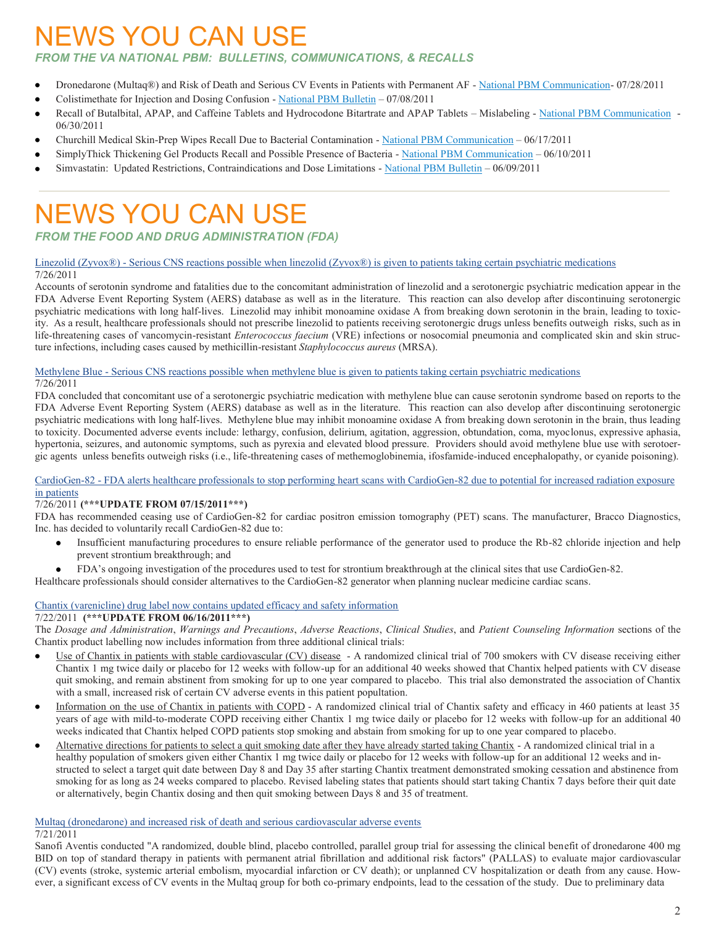## NEWS YOU CAN USE

#### *FROM THE VA NATIONAL PBM: BULLETINS, COMMUNICATIONS, & RECALLS*

- Dronedarone (Multaq®) and Risk of Death and Serious CV Events in Patients with Permanent AF [National PBM Communication-](http://www.pbm.va.gov/vamedsafe/DRONEDARONE_PERMANENT%20AF_NATIONAL%20PBM%20COMMUNICATION_072811_FINAL.PDF) 07/28/2011  $\bullet$
- Colistimethate for Injection and Dosing Confusion [National PBM Bulletin](http://www.pbm.va.gov/vamedsafe/Colistimethate%20and%20Dosing%20Confusion_National%20PBM%20BULLETIN_070811_FINAL.PDF) 07/08/2011
- Recall of Butalbital, APAP, and Caffeine Tablets and Hydrocodone Bitartrate and APAP Tablets Mislabeling [National PBM Communication](http://www.pbm.va.gov/vamedsafe/Butalbital_APAP_Caffeine%20Tablets%20and%20Hydrocodone%20Bitartrate_APAP%20Mislabeling%20Recall_NATIONAL%20PBM%20COMMUNICATION_063011_FINAL.PDF)  06/30/2011
- Churchill Medical Skin-Prep Wipes Recall Due to Bacterial Contamination [National PBM Communication](http://www.pbm.va.gov/vamedsafe/Churchill%20Medical%20Systems%20Recall_Skin-Prep%20Wipes%20used%20in%20Convenience%20Kits_NATIONAL%20PBM%20COMMUNICATION_FINAL_061711.pdf) 06/17/2011
- SimplyThick Thickening Gel Products Recall and Possible Presence of Bacteria [National PBM Communication](http://www.pbm.va.gov/vamedsafe/Simply%20Thick%20Thickening%20Agent%20Recall_NATIONAL%20PBM%20COMMUNICATION_061011_FINAL.PDF) 06/10/2011
- Simvastatin: Updated Restrictions, Contraindications and Dose Limitations [National PBM Bulletin](http://www.pbm.va.gov/vamedsafe/Simvastatin_Updated%20Restrictions_National%20PBM%20Bulletin_060911_FINAL.PDF) 06/09/2011

## NEWS YOU CAN USE

#### *FROM THE FOOD AND DRUG ADMINISTRATION (FDA)*

#### Linezolid (Zyvox®) - [Serious CNS reactions possible when linezolid \(Zyvox®\) is given to patients taking certain psychiatric medications](http://www.fda.gov/Drugs/DrugSafety/ucm265305.htm) 7/26/2011

Accounts of serotonin syndrome and fatalities due to the concomitant administration of linezolid and a serotonergic psychiatric medication appear in the FDA Adverse Event Reporting System (AERS) database as well as in the literature. This reaction can also develop after discontinuing serotonergic psychiatric medications with long half-lives. Linezolid may inhibit monoamine oxidase A from breaking down serotonin in the brain, leading to toxicity. As a result, healthcare professionals should not prescribe linezolid to patients receiving serotonergic drugs unless benefits outweigh risks, such as in life-threatening cases of vancomycin-resistant *Enterococcus faecium* (VRE) infections or nosocomial pneumonia and complicated skin and skin structure infections, including cases caused by methicillin-resistant *Staphylococcus aureus* (MRSA).

#### Methylene Blue - [Serious CNS reactions possible when methylene blue is given to patients taking certain psychiatric medications](http://www.fda.gov/Drugs/DrugSafety/ucm263190.htm) 7/26/2011

FDA concluded that concomitant use of a serotonergic psychiatric medication with methylene blue can cause serotonin syndrome based on reports to the FDA Adverse Event Reporting System (AERS) database as well as in the literature. This reaction can also develop after discontinuing serotonergic psychiatric medications with long half-lives. Methylene blue may inhibit monoamine oxidase A from breaking down serotonin in the brain, thus leading to toxicity. Documented adverse events include: lethargy, confusion, delirium, agitation, aggression, obtundation, coma, myoclonus, expressive aphasia, hypertonia, seizures, and autonomic symptoms, such as pyrexia and elevated blood pressure. Providers should avoid methylene blue use with serotoergic agents unless benefits outweigh risks (i.e., life-threatening cases of methemoglobinemia, ifosfamide-induced encephalopathy, or cyanide poisoning).

#### CardioGen-82 - [FDA alerts healthcare professionals to stop performing heart scans with CardioGen-82 due to potential for increased radiation exposure](http://www.fda.gov/Drugs/DrugSafety/ucm265278.htm)  [in patients](http://www.fda.gov/Drugs/DrugSafety/ucm265278.htm)

#### 7/26/2011 **(\*\*\*UPDATE FROM 07/15/2011\*\*\*)**

FDA has recommended ceasing use of CardioGen-82 for cardiac positron emission tomography (PET) scans. The manufacturer, Bracco Diagnostics, Inc. has decided to voluntarily recall CardioGen-82 due to:

- Insufficient manufacturing procedures to ensure reliable performance of the generator used to produce the Rb-82 chloride injection and help prevent strontium breakthrough; and
- FDA's ongoing investigation of the procedures used to test for strontium breakthrough at the clinical sites that use CardioGen-82.

Healthcare professionals should consider alternatives to the CardioGen-82 generator when planning nuclear medicine cardiac scans.

#### [Chantix \(varenicline\) drug label now contains updated efficacy and safety information](http://www.fda.gov/Drugs/DrugSafety/ucm264436.htm)

#### 7/22/2011 **(\*\*\*UPDATE FROM 06/16/2011\*\*\*)**

The *Dosage and Administration*, *Warnings and Precautions*, *Adverse Reactions*, *Clinical Studies*, and *Patient Counseling Information* sections of the Chantix product labelling now includes information from three additional clinical trials:

- Use of Chantix in patients with stable cardiovascular (CV) disease A randomized clinical trial of 700 smokers with CV disease receiving either Chantix 1 mg twice daily or placebo for 12 weeks with follow-up for an additional 40 weeks showed that Chantix helped patients with CV disease quit smoking, and remain abstinent from smoking for up to one year compared to placebo. This trial also demonstrated the association of Chantix with a small, increased risk of certain CV adverse events in this patient popultation.
- Information on the use of Chantix in patients with COPD A randomized clinical trial of Chantix safety and efficacy in 460 patients at least 35 years of age with mild-to-moderate COPD receiving either Chantix 1 mg twice daily or placebo for 12 weeks with follow-up for an additional 40 weeks indicated that Chantix helped COPD patients stop smoking and abstain from smoking for up to one year compared to placebo.
- Alternative directions for patients to select a quit smoking date after they have already started taking Chantix A randomized clinical trial in a healthy population of smokers given either Chantix 1 mg twice daily or placebo for 12 weeks with follow-up for an additional 12 weeks and instructed to select a target quit date between Day 8 and Day 35 after starting Chantix treatment demonstrated smoking cessation and abstinence from smoking for as long as 24 weeks compared to placebo. Revised labeling states that patients should start taking Chantix 7 days before their quit date or alternatively, begin Chantix dosing and then quit smoking between Days 8 and 35 of treatment.

#### [Multaq \(dronedarone\) and increased risk of death and serious cardiovascular adverse events](http://www.fda.gov/Drugs/DrugSafety/ucm264059.htm)

#### 7/21/2011

Sanofi Aventis conducted "A randomized, double blind, placebo controlled, parallel group trial for assessing the clinical benefit of dronedarone 400 mg BID on top of standard therapy in patients with permanent atrial fibrillation and additional risk factors" (PALLAS) to evaluate major cardiovascular (CV) events (stroke, systemic arterial embolism, myocardial infarction or CV death); or unplanned CV hospitalization or death from any cause. However, a significant excess of CV events in the Multaq group for both co-primary endpoints, lead to the cessation of the study. Due to preliminary data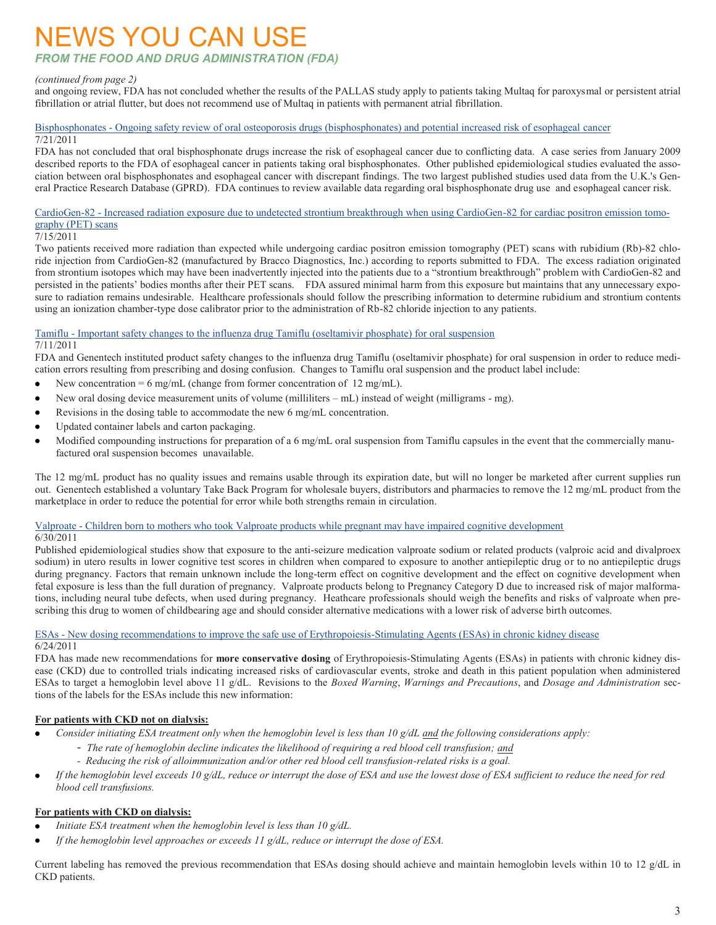## NEWS YOU CAN USE

#### *FROM THE FOOD AND DRUG ADMINISTRATION (FDA)*

#### *(continued from page 2)*

and ongoing review, FDA has not concluded whether the results of the PALLAS study apply to patients taking Multaq for paroxysmal or persistent atrial fibrillation or atrial flutter, but does not recommend use of Multaq in patients with permanent atrial fibrillation.

#### Bisphosphonates - [Ongoing safety review of oral osteoporosis drugs \(bisphosphonates\) and potential increased risk of esophageal cancer](http://www.fda.gov/Drugs/DrugSafety/ucm263320.htm) 7/21/2011

FDA has not concluded that oral bisphosphonate drugs increase the risk of esophageal cancer due to conflicting data. A case series from January 2009 described reports to the FDA of esophageal cancer in patients taking oral bisphosphonates. Other published epidemiological studies evaluated the association between oral bisphosphonates and esophageal cancer with discrepant findings. The two largest published studies used data from the U.K.'s General Practice Research Database (GPRD). FDA continues to review available data regarding oral bisphosphonate drug use and esophageal cancer risk.

#### CardioGen-82 - [Increased radiation exposure due to undetected strontium breakthrough when using CardioGen-82 for cardiac positron emission tomo](http://www.fda.gov/Drugs/DrugSafety/ucm263112.htm)[graphy \(PET\) scans](http://www.fda.gov/Drugs/DrugSafety/ucm263112.htm)

#### 7/15/2011

Two patients received more radiation than expected while undergoing cardiac positron emission tomography (PET) scans with rubidium (Rb)-82 chloride injection from CardioGen-82 (manufactured by Bracco Diagnostics, Inc.) according to reports submitted to FDA. The excess radiation originated from strontium isotopes which may have been inadvertently injected into the patients due to a "strontium breakthrough" problem with CardioGen-82 and persisted in the patients' bodies months after their PET scans. FDA assured minimal harm from this exposure but maintains that any unnecessary exposure to radiation remains undesirable. Healthcare professionals should follow the prescribing information to determine rubidium and strontium contents using an ionization chamber-type dose calibrator prior to the administration of Rb-82 chloride injection to any patients.

#### Tamiflu - [Important safety changes to the influenza drug Tamiflu \(oseltamivir phosphate\) for oral suspension](http://www.fda.gov/Drugs/DrugSafety/ucm261686.htm)

#### 7/11/2011

FDA and Genentech instituted product safety changes to the influenza drug Tamiflu (oseltamivir phosphate) for oral suspension in order to reduce medication errors resulting from prescribing and dosing confusion. Changes to Tamiflu oral suspension and the product label include:

- New concentration = 6 mg/mL (change from former concentration of 12 mg/mL).
- New oral dosing device measurement units of volume (milliliters mL) instead of weight (milligrams mg).
- Revisions in the dosing table to accommodate the new 6 mg/mL concentration.
- Updated container labels and carton packaging.
- Modified compounding instructions for preparation of a 6 mg/mL oral suspension from Tamiflu capsules in the event that the commercially manufactured oral suspension becomes unavailable.

The 12 mg/mL product has no quality issues and remains usable through its expiration date, but will no longer be marketed after current supplies run out. Genentech established a voluntary Take Back Program for wholesale buyers, distributors and pharmacies to remove the 12 mg/mL product from the marketplace in order to reduce the potential for error while both strengths remain in circulation.

#### Valproate - [Children born to mothers who took Valproate products while pregnant may have impaired cognitive development](http://www.fda.gov/Drugs/DrugSafety/ucm261543.htm)

#### 6/30/2011

Published epidemiological studies show that exposure to the anti-seizure medication valproate sodium or related products (valproic acid and divalproex sodium) in utero results in lower cognitive test scores in children when compared to exposure to another antiepileptic drug or to no antiepileptic drugs during pregnancy. Factors that remain unknown include the long-term effect on cognitive development and the effect on cognitive development when fetal exposure is less than the full duration of pregnancy. Valproate products belong to Pregnancy Category D due to increased risk of major malformations, including neural tube defects, when used during pregnancy. Heathcare professionals should weigh the benefits and risks of valproate when prescribing this drug to women of childbearing age and should consider alternative medications with a lower risk of adverse birth outcomes.

#### ESAs - [New dosing recommendations to improve the safe use of Erythropoiesis-Stimulating Agents \(ESAs\) in chronic kidney disease](http://www.fda.gov/Drugs/DrugSafety/ucm259639.htm) 6/24/2011

FDA has made new recommendations for **more conservative dosing** of Erythropoiesis-Stimulating Agents (ESAs) in patients with chronic kidney disease (CKD) due to controlled trials indicating increased risks of cardiovascular events, stroke and death in this patient population when administered ESAs to target a hemoglobin level above 11 g/dL. Revisions to the *Boxed Warning*, *Warnings and Precautions*, and *Dosage and Administration* sections of the labels for the ESAs include this new information:

#### **For patients with CKD not on dialysis:**

- *Consider initiating ESA treatment only when the hemoglobin level is less than 10 g/dL and the following considerations apply:*
	- *The rate of hemoglobin decline indicates the likelihood of requiring a red blood cell transfusion; and*
	- *Reducing the risk of alloimmunization and/or other red blood cell transfusion-related risks is a goal.*
- *If the hemoglobin level exceeds 10 g/dL, reduce or interrupt the dose of ESA and use the lowest dose of ESA sufficient to reduce the need for red blood cell transfusions.*

#### **For patients with CKD on dialysis:**

- *Initiate ESA treatment when the hemoglobin level is less than 10 g/dL.*
- *If the hemoglobin level approaches or exceeds 11 g/dL, reduce or interrupt the dose of ESA.*

Current labeling has removed the previous recommendation that ESAs dosing should achieve and maintain hemoglobin levels within 10 to 12 g/dL in CKD patients.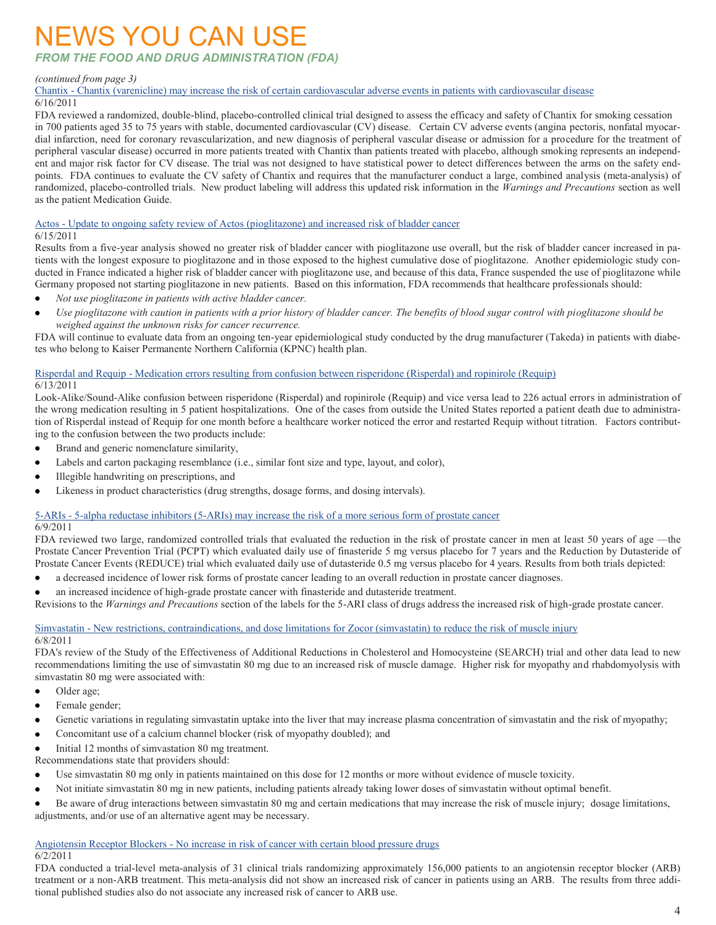### NEWS YOU CAN USE

*FROM THE FOOD AND DRUG ADMINISTRATION (FDA)*

#### *(continued from page 3)*

Chantix - [Chantix \(varenicline\) may increase the risk of certain cardiovascular adverse events in patients with cardiovascular disease](http://www.fda.gov/Drugs/DrugSafety/ucm259161.htm)

#### 6/16/2011

FDA reviewed a randomized, double-blind, placebo-controlled clinical trial designed to assess the efficacy and safety of Chantix for smoking cessation in 700 patients aged 35 to 75 years with stable, documented cardiovascular (CV) disease. Certain CV adverse events (angina pectoris, nonfatal myocardial infarction, need for coronary revascularization, and new diagnosis of peripheral vascular disease or admission for a procedure for the treatment of peripheral vascular disease) occurred in more patients treated with Chantix than patients treated with placebo, although smoking represents an independent and major risk factor for CV disease. The trial was not designed to have statistical power to detect differences between the arms on the safety endpoints. FDA continues to evaluate the CV safety of Chantix and requires that the manufacturer conduct a large, combined analysis (meta-analysis) of randomized, placebo-controlled trials. New product labeling will address this updated risk information in the *Warnings and Precautions* section as well as the patient Medication Guide.

#### Actos - [Update to ongoing safety review of Actos \(pioglitazone\) and increased risk of bladder cancer](http://www.fda.gov/Drugs/DrugSafety/ucm259150.htm)

6/15/2011

Results from a five-year analysis showed no greater risk of bladder cancer with pioglitazone use overall, but the risk of bladder cancer increased in patients with the longest exposure to pioglitazone and in those exposed to the highest cumulative dose of pioglitazone. Another epidemiologic study conducted in France indicated a higher risk of bladder cancer with pioglitazone use, and because of this data, France suspended the use of pioglitazone while Germany proposed not starting pioglitazone in new patients. Based on this information, FDA recommends that healthcare professionals should:

- *Not use pioglitazone in patients with active bladder cancer.*
- *Use pioglitazone with caution in patients with a prior history of bladder cancer. The benefits of blood sugar control with pioglitazone should be*   $\bullet$ *weighed against the unknown risks for cancer recurrence.*

FDA will continue to evaluate data from an ongoing ten-year epidemiological study conducted by the drug manufacturer (Takeda) in patients with diabetes who belong to Kaiser Permanente Northern California (KPNC) health plan.

#### Risperdal and Requip - [Medication errors resulting from confusion between risperidone \(Risperdal\) and ropinirole \(Requip\)](http://www.fda.gov/Drugs/DrugSafety/ucm258805.htm) 6/13/2011

Look-Alike/Sound-Alike confusion between risperidone (Risperdal) and ropinirole (Requip) and vice versa lead to 226 actual errors in administration of the wrong medication resulting in 5 patient hospitalizations. One of the cases from outside the United States reported a patient death due to administration of Risperdal instead of Requip for one month before a healthcare worker noticed the error and restarted Requip without titration. Factors contributing to the confusion between the two products include:

- $\bullet$ Brand and generic nomenclature similarity,
- $\bullet$ Labels and carton packaging resemblance (i.e., similar font size and type, layout, and color),
- $\bullet$ Illegible handwriting on prescriptions, and
- Likeness in product characteristics (drug strengths, dosage forms, and dosing intervals).

#### 5-ARIs - [5-alpha reductase inhibitors \(5-ARIs\) may increase the risk of a more serious form of prostate cancer](http://www.fda.gov/Drugs/DrugSafety/ucm258314.htm)

#### 6/9/2011

FDA reviewed two large, randomized controlled trials that evaluated the reduction in the risk of prostate cancer in men at least 50 years of age ––the Prostate Cancer Prevention Trial (PCPT) which evaluated daily use of finasteride 5 mg versus placebo for 7 years and the Reduction by Dutasteride of Prostate Cancer Events (REDUCE) trial which evaluated daily use of dutasteride 0.5 mg versus placebo for 4 years. Results from both trials depicted:

- a decreased incidence of lower risk forms of prostate cancer leading to an overall reduction in prostate cancer diagnoses.  $\bullet$
- an increased incidence of high-grade prostate cancer with finasteride and dutasteride treatment.

Revisions to the *Warnings and Precautions* section of the labels for the 5-ARI class of drugs address the increased risk of high-grade prostate cancer.

#### Simvastatin - [New restrictions, contraindications, and dose limitations for Zocor \(simvastatin\) to reduce the risk of muscle injury](http://www.fda.gov/Drugs/DrugSafety/ucm256581.htm) 6/8/2011

FDA's review of the Study of the Effectiveness of Additional Reductions in Cholesterol and Homocysteine (SEARCH) trial and other data lead to new recommendations limiting the use of simvastatin 80 mg due to an increased risk of muscle damage. Higher risk for myopathy and rhabdomyolysis with simvastatin 80 mg were associated with:

- Older age;
- Female gender;  $\bullet$
- $\bullet$ Genetic variations in regulating simvastatin uptake into the liver that may increase plasma concentration of simvastatin and the risk of myopathy;
- $\bullet$ Concomitant use of a calcium channel blocker (risk of myopathy doubled); and
- Initial 12 months of simvastation 80 mg treatment.  $\bullet$

Recommendations state that providers should:

- $\bullet$ Use simvastatin 80 mg only in patients maintained on this dose for 12 months or more without evidence of muscle toxicity.
- Not initiate simvastatin 80 mg in new patients, including patients already taking lower doses of simvastatin without optimal benefit.

Be aware of drug interactions between simvastatin 80 mg and certain medications that may increase the risk of muscle injury; dosage limitations, adjustments, and/or use of an alternative agent may be necessary.

#### Angiotensin Receptor Blockers - [No increase in risk of cancer with certain blood pressure drugs](http://www.fda.gov/Drugs/DrugSafety/ucm257516.htm)

#### 6/2/2011

FDA conducted a trial-level meta-analysis of 31 clinical trials randomizing approximately 156,000 patients to an angiotensin receptor blocker (ARB) treatment or a non-ARB treatment. This meta-analysis did not show an increased risk of cancer in patients using an ARB. The results from three additional published studies also do not associate any increased risk of cancer to ARB use.